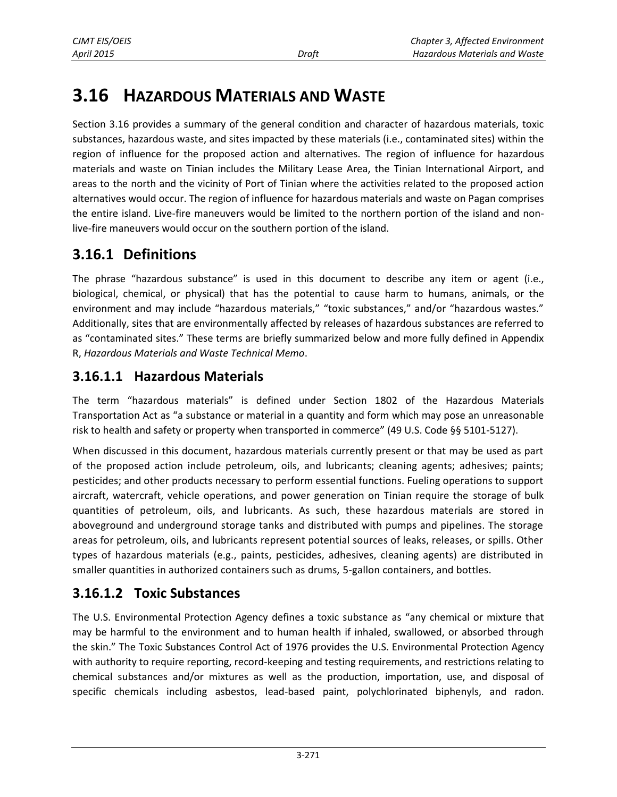# **3.16 HAZARDOUS MATERIALS AND WASTE**

Section 3.16 provides a summary of the general condition and character of hazardous materials, toxic substances, hazardous waste, and sites impacted by these materials (i.e., contaminated sites) within the region of influence for the proposed action and alternatives. The region of influence for hazardous materials and waste on Tinian includes the Military Lease Area, the Tinian International Airport, and areas to the north and the vicinity of Port of Tinian where the activities related to the proposed action alternatives would occur. The region of influence for hazardous materials and waste on Pagan comprises the entire island. Live-fire maneuvers would be limited to the northern portion of the island and nonlive-fire maneuvers would occur on the southern portion of the island.

# **3.16.1 Definitions**

The phrase "hazardous substance" is used in this document to describe any item or agent (i.e., biological, chemical, or physical) that has the potential to cause harm to humans, animals, or the environment and may include "hazardous materials," "toxic substances," and/or "hazardous wastes." Additionally, sites that are environmentally affected by releases of hazardous substances are referred to as "contaminated sites." These terms are briefly summarized below and more fully defined in Appendix R, *Hazardous Materials and Waste Technical Memo*.

### **3.16.1.1 Hazardous Materials**

The term "hazardous materials" is defined under Section 1802 of the Hazardous Materials Transportation Act as "a substance or material in a quantity and form which may pose an unreasonable risk to health and safety or property when transported in commerce" (49 U.S. Code §§ 5101-5127).

When discussed in this document, hazardous materials currently present or that may be used as part of the proposed action include petroleum, oils, and lubricants; cleaning agents; adhesives; paints; pesticides; and other products necessary to perform essential functions. Fueling operations to support aircraft, watercraft, vehicle operations, and power generation on Tinian require the storage of bulk quantities of petroleum, oils, and lubricants. As such, these hazardous materials are stored in aboveground and underground storage tanks and distributed with pumps and pipelines. The storage areas for petroleum, oils, and lubricants represent potential sources of leaks, releases, or spills. Other types of hazardous materials (e.g., paints, pesticides, adhesives, cleaning agents) are distributed in smaller quantities in authorized containers such as drums, 5-gallon containers, and bottles.

# **3.16.1.2 Toxic Substances**

The U.S. Environmental Protection Agency defines a toxic substance as "any chemical or mixture that may be harmful to the environment and to human health if inhaled, swallowed, or absorbed through the skin." The Toxic Substances Control Act of 1976 provides the U.S. Environmental Protection Agency with authority to require reporting, record-keeping and testing requirements, and restrictions relating to chemical substances and/or mixtures as well as the production, importation, use, and disposal of specific chemicals including asbestos, lead-based paint, polychlorinated biphenyls, and radon.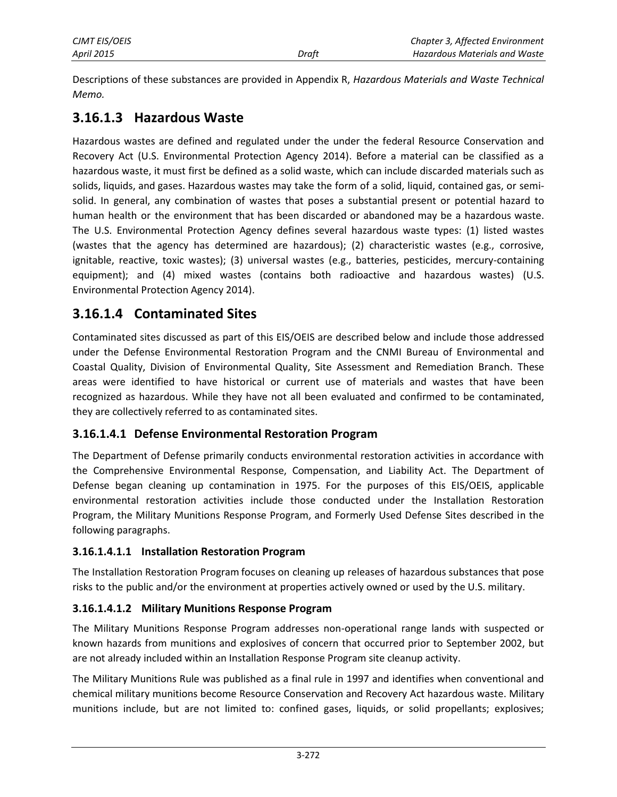Descriptions of these substances are provided in Appendix R, *Hazardous Materials and Waste Technical Memo.*

### **3.16.1.3 Hazardous Waste**

Hazardous wastes are defined and regulated under the under the federal Resource Conservation and Recovery Act (U.S. Environmental Protection Agency 2014). Before a material can be classified as a hazardous waste, it must first be defined as a solid waste, which can include discarded materials such as solids, liquids, and gases. Hazardous wastes may take the form of a solid, liquid, contained gas, or semisolid. In general, any combination of wastes that poses a substantial present or potential hazard to human health or the environment that has been discarded or abandoned may be a hazardous waste. The U.S. Environmental Protection Agency defines several hazardous waste types: (1) listed wastes (wastes that the agency has determined are hazardous); (2) characteristic wastes (e.g., corrosive, ignitable, reactive, toxic wastes); (3) universal wastes (e.g., batteries, pesticides, mercury-containing equipment); and (4) mixed wastes (contains both radioactive and hazardous wastes) (U.S. Environmental Protection Agency 2014).

### <span id="page-1-0"></span>**3.16.1.4 Contaminated Sites**

Contaminated sites discussed as part of this EIS/OEIS are described below and include those addressed under the Defense Environmental Restoration Program and the CNMI Bureau of Environmental and Coastal Quality, Division of Environmental Quality, Site Assessment and Remediation Branch. These areas were identified to have historical or current use of materials and wastes that have been recognized as hazardous. While they have not all been evaluated and confirmed to be contaminated, they are collectively referred to as contaminated sites.

#### **3.16.1.4.1 Defense Environmental Restoration Program**

The Department of Defense primarily conducts environmental restoration activities in accordance with the Comprehensive Environmental Response, Compensation, and Liability Act. The Department of Defense began cleaning up contamination in 1975. For the purposes of this EIS/OEIS, applicable environmental restoration activities include those conducted under the Installation Restoration Program, the Military Munitions Response Program, and Formerly Used Defense Sites described in the following paragraphs.

#### **3.16.1.4.1.1 Installation Restoration Program**

The Installation Restoration Program focuses on cleaning up releases of hazardous substances that pose risks to the public and/or the environment at properties actively owned or used by the U.S. military.

#### **3.16.1.4.1.2 Military Munitions Response Program**

The Military Munitions Response Program addresses non-operational range lands with suspected or known hazards from munitions and explosives of concern that occurred prior to September 2002, but are not already included within an Installation Response Program site cleanup activity.

The Military Munitions Rule was published as a final rule in 1997 and identifies when conventional and chemical military munitions become Resource Conservation and Recovery Act hazardous waste. Military munitions include, but are not limited to: confined gases, liquids, or solid propellants; explosives;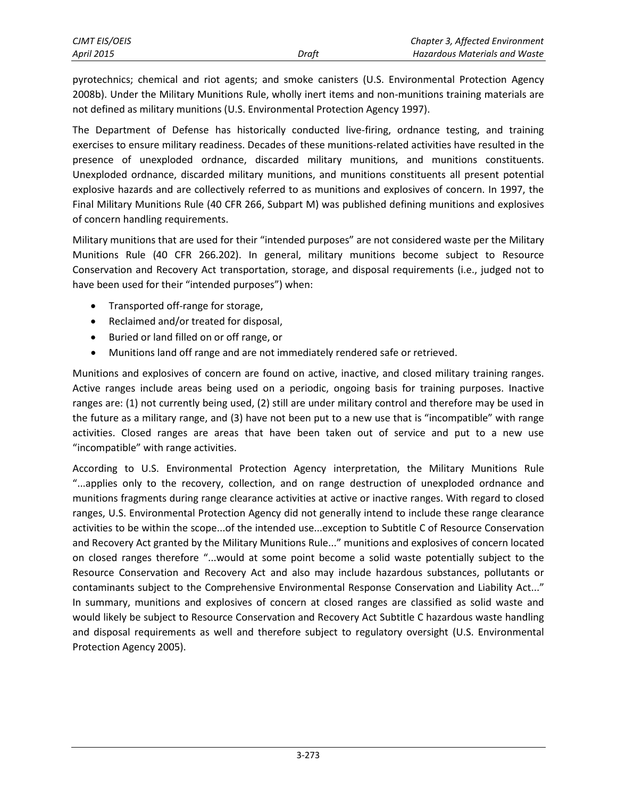pyrotechnics; chemical and riot agents; and smoke canisters (U.S. Environmental Protection Agency 2008b). Under the Military Munitions Rule, wholly inert items and non-munitions training materials are not defined as military munitions (U.S. Environmental Protection Agency 1997).

The Department of Defense has historically conducted live-firing, ordnance testing, and training exercises to ensure military readiness. Decades of these munitions-related activities have resulted in the presence of unexploded ordnance, discarded military munitions, and munitions constituents. Unexploded ordnance, discarded military munitions, and munitions constituents all present potential explosive hazards and are collectively referred to as munitions and explosives of concern. In 1997, the Final Military Munitions Rule (40 CFR 266, Subpart M) was published defining munitions and explosives of concern handling requirements.

Military munitions that are used for their "intended purposes" are not considered waste per the Military Munitions Rule (40 CFR 266.202). In general, military munitions become subject to Resource Conservation and Recovery Act transportation, storage, and disposal requirements (i.e., judged not to have been used for their "intended purposes") when:

- Transported off-range for storage,
- Reclaimed and/or treated for disposal,
- Buried or land filled on or off range, or
- Munitions land off range and are not immediately rendered safe or retrieved.

Munitions and explosives of concern are found on active, inactive, and closed military training ranges. Active ranges include areas being used on a periodic, ongoing basis for training purposes. Inactive ranges are: (1) not currently being used, (2) still are under military control and therefore may be used in the future as a military range, and (3) have not been put to a new use that is "incompatible" with range activities. Closed ranges are areas that have been taken out of service and put to a new use "incompatible" with range activities.

According to U.S. Environmental Protection Agency interpretation, the Military Munitions Rule "...applies only to the recovery, collection, and on range destruction of unexploded ordnance and munitions fragments during range clearance activities at active or inactive ranges. With regard to closed ranges, U.S. Environmental Protection Agency did not generally intend to include these range clearance activities to be within the scope...of the intended use...exception to Subtitle C of Resource Conservation and Recovery Act granted by the Military Munitions Rule..." munitions and explosives of concern located on closed ranges therefore "...would at some point become a solid waste potentially subject to the Resource Conservation and Recovery Act and also may include hazardous substances, pollutants or contaminants subject to the Comprehensive Environmental Response Conservation and Liability Act..." In summary, munitions and explosives of concern at closed ranges are classified as solid waste and would likely be subject to Resource Conservation and Recovery Act Subtitle C hazardous waste handling and disposal requirements as well and therefore subject to regulatory oversight (U.S. Environmental Protection Agency 2005).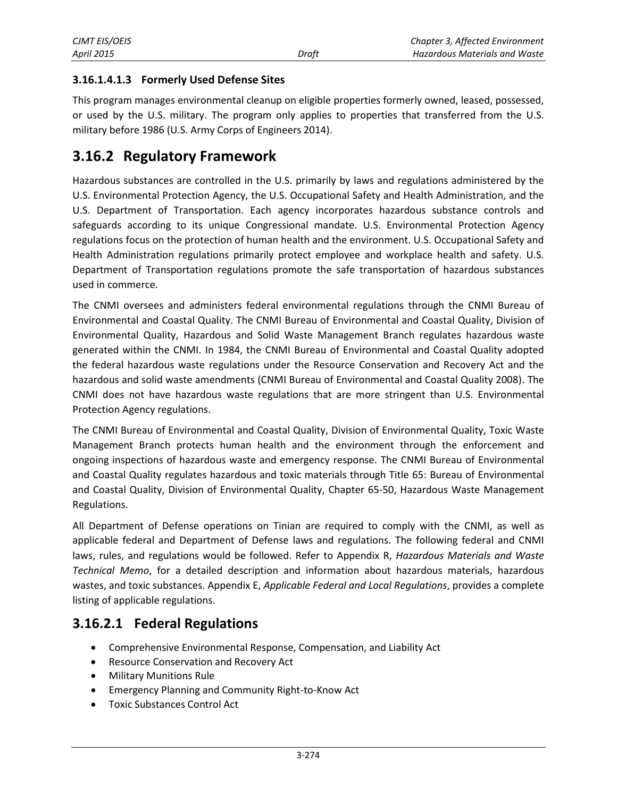#### **3.16.1.4.1.3 Formerly Used Defense Sites**

This program manages environmental cleanup on eligible properties formerly owned, leased, possessed, or used by the U.S. military. The program only applies to properties that transferred from the U.S. military before 1986 (U.S. Army Corps of Engineers 2014).

### **3.16.2 Regulatory Framework**

Hazardous substances are controlled in the U.S. primarily by laws and regulations administered by the U.S. Environmental Protection Agency, the U.S. Occupational Safety and Health Administration, and the U.S. Department of Transportation. Each agency incorporates hazardous substance controls and safeguards according to its unique Congressional mandate. U.S. Environmental Protection Agency regulations focus on the protection of human health and the environment. U.S. Occupational Safety and Health Administration regulations primarily protect employee and workplace health and safety. U.S. Department of Transportation regulations promote the safe transportation of hazardous substances used in commerce.

The CNMI oversees and administers federal environmental regulations through the CNMI Bureau of Environmental and Coastal Quality. The CNMI Bureau of Environmental and Coastal Quality, Division of Environmental Quality, Hazardous and Solid Waste Management Branch regulates hazardous waste generated within the CNMI. In 1984, the CNMI Bureau of Environmental and Coastal Quality adopted the federal hazardous waste regulations under the Resource Conservation and Recovery Act and the hazardous and solid waste amendments (CNMI Bureau of Environmental and Coastal Quality 2008). The CNMI does not have hazardous waste regulations that are more stringent than U.S. Environmental Protection Agency regulations.

The CNMI Bureau of Environmental and Coastal Quality, Division of Environmental Quality, Toxic Waste Management Branch protects human health and the environment through the enforcement and ongoing inspections of hazardous waste and emergency response. The CNMI Bureau of Environmental and Coastal Quality regulates hazardous and toxic materials through Title 65: Bureau of Environmental and Coastal Quality, Division of Environmental Quality, Chapter 65-50, Hazardous Waste Management Regulations.

All Department of Defense operations on Tinian are required to comply with the CNMI, as well as applicable federal and Department of Defense laws and regulations. The following federal and CNMI laws, rules, and regulations would be followed. Refer to Appendix R, *Hazardous Materials and Waste Technical Memo*, for a detailed description and information about hazardous materials, hazardous wastes, and toxic substances. Appendix E, *Applicable Federal and Local Regulations*, provides a complete listing of applicable regulations.

### **3.16.2.1 Federal Regulations**

- Comprehensive Environmental Response, Compensation, and Liability Act
- Resource Conservation and Recovery Act
- Military Munitions Rule
- Emergency Planning and Community Right-to-Know Act
- Toxic Substances Control Act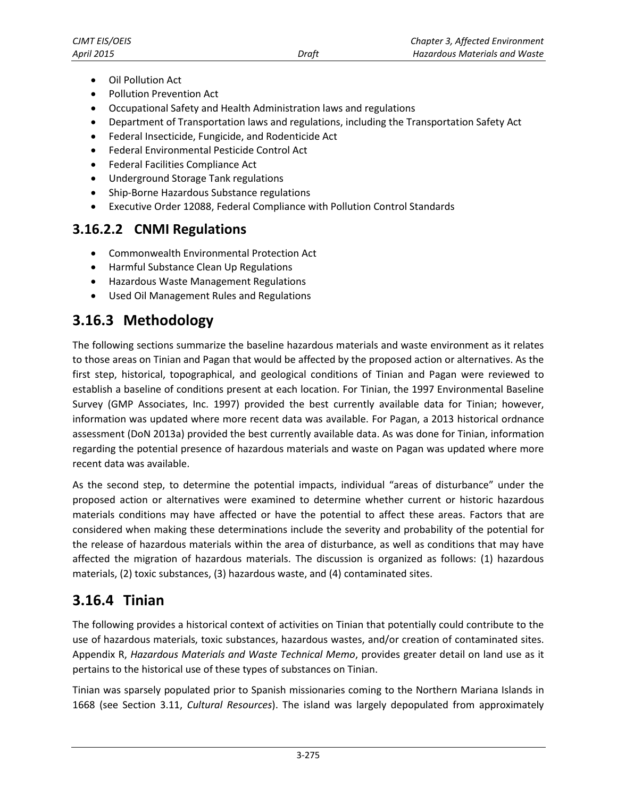- Oil Pollution Act
- Pollution Prevention Act
- Occupational Safety and Health Administration laws and regulations
- Department of Transportation laws and regulations, including the Transportation Safety Act
- Federal Insecticide, Fungicide, and Rodenticide Act
- Federal Environmental Pesticide Control Act
- Federal Facilities Compliance Act
- Underground Storage Tank regulations
- Ship-Borne Hazardous Substance regulations
- Executive Order 12088, Federal Compliance with Pollution Control Standards

### **3.16.2.2 CNMI Regulations**

- Commonwealth Environmental Protection Act
- **•** Harmful Substance Clean Up Regulations
- Hazardous Waste Management Regulations
- Used Oil Management Rules and Regulations

# **3.16.3 Methodology**

The following sections summarize the baseline hazardous materials and waste environment as it relates to those areas on Tinian and Pagan that would be affected by the proposed action or alternatives. As the first step, historical, topographical, and geological conditions of Tinian and Pagan were reviewed to establish a baseline of conditions present at each location. For Tinian, the 1997 Environmental Baseline Survey (GMP Associates, Inc. 1997) provided the best currently available data for Tinian; however, information was updated where more recent data was available. For Pagan, a 2013 historical ordnance assessment (DoN 2013a) provided the best currently available data. As was done for Tinian, information regarding the potential presence of hazardous materials and waste on Pagan was updated where more recent data was available.

As the second step, to determine the potential impacts, individual "areas of disturbance" under the proposed action or alternatives were examined to determine whether current or historic hazardous materials conditions may have affected or have the potential to affect these areas. Factors that are considered when making these determinations include the severity and probability of the potential for the release of hazardous materials within the area of disturbance, as well as conditions that may have affected the migration of hazardous materials. The discussion is organized as follows: (1) hazardous materials, (2) toxic substances, (3) hazardous waste, and (4) contaminated sites.

### **3.16.4 Tinian**

The following provides a historical context of activities on Tinian that potentially could contribute to the use of hazardous materials, toxic substances, hazardous wastes, and/or creation of contaminated sites. Appendix R, *Hazardous Materials and Waste Technical Memo*, provides greater detail on land use as it pertains to the historical use of these types of substances on Tinian.

Tinian was sparsely populated prior to Spanish missionaries coming to the Northern Mariana Islands in 1668 (see Section 3.11, *Cultural Resources*). The island was largely depopulated from approximately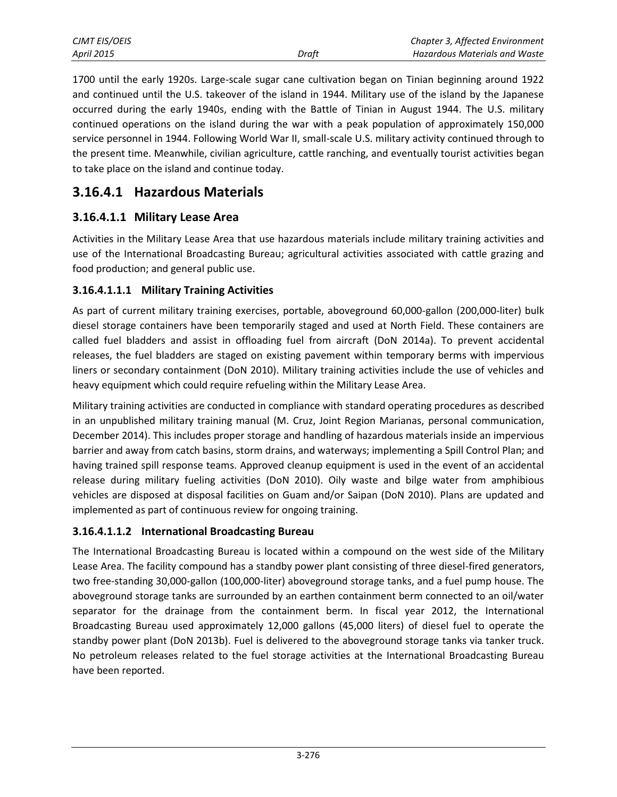| CJMT EIS/OEIS     |       | Chapter 3, Affected Environment |
|-------------------|-------|---------------------------------|
| <b>April 2015</b> | Draft | Hazardous Materials and Waste   |

1700 until the early 1920s. Large-scale sugar cane cultivation began on Tinian beginning around 1922 and continued until the U.S. takeover of the island in 1944. Military use of the island by the Japanese occurred during the early 1940s, ending with the Battle of Tinian in August 1944. The U.S. military continued operations on the island during the war with a peak population of approximately 150,000 service personnel in 1944. Following World War II, small-scale U.S. military activity continued through to the present time. Meanwhile, civilian agriculture, cattle ranching, and eventually tourist activities began to take place on the island and continue today.

### **3.16.4.1 Hazardous Materials**

#### **3.16.4.1.1 Military Lease Area**

Activities in the Military Lease Area that use hazardous materials include military training activities and use of the International Broadcasting Bureau; agricultural activities associated with cattle grazing and food production; and general public use.

#### **3.16.4.1.1.1 Military Training Activities**

As part of current military training exercises, portable, aboveground 60,000-gallon (200,000-liter) bulk diesel storage containers have been temporarily staged and used at North Field. These containers are called fuel bladders and assist in offloading fuel from aircraft (DoN 2014a). To prevent accidental releases, the fuel bladders are staged on existing pavement within temporary berms with impervious liners or secondary containment (DoN 2010). Military training activities include the use of vehicles and heavy equipment which could require refueling within the Military Lease Area.

Military training activities are conducted in compliance with standard operating procedures as described in an unpublished military training manual (M. Cruz, Joint Region Marianas, personal communication, December 2014). This includes proper storage and handling of hazardous materials inside an impervious barrier and away from catch basins, storm drains, and waterways; implementing a Spill Control Plan; and having trained spill response teams. Approved cleanup equipment is used in the event of an accidental release during military fueling activities (DoN 2010). Oily waste and bilge water from amphibious vehicles are disposed at disposal facilities on Guam and/or Saipan (DoN 2010). Plans are updated and implemented as part of continuous review for ongoing training.

#### **3.16.4.1.1.2 International Broadcasting Bureau**

The International Broadcasting Bureau is located within a compound on the west side of the Military Lease Area. The facility compound has a standby power plant consisting of three diesel-fired generators, two free-standing 30,000-gallon (100,000-liter) aboveground storage tanks, and a fuel pump house. The aboveground storage tanks are surrounded by an earthen containment berm connected to an oil/water separator for the drainage from the containment berm. In fiscal year 2012, the International Broadcasting Bureau used approximately 12,000 gallons (45,000 liters) of diesel fuel to operate the standby power plant (DoN 2013b). Fuel is delivered to the aboveground storage tanks via tanker truck. No petroleum releases related to the fuel storage activities at the International Broadcasting Bureau have been reported.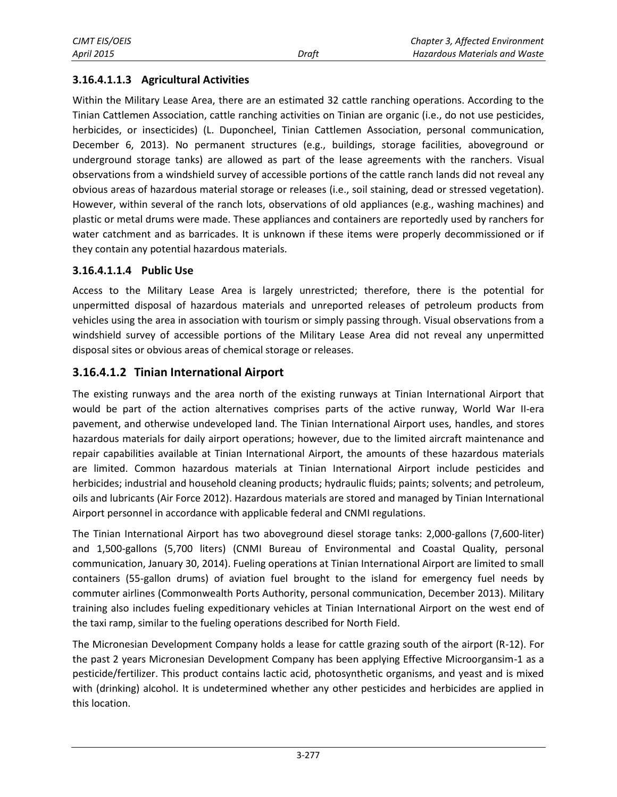#### **3.16.4.1.1.3 Agricultural Activities**

Within the Military Lease Area, there are an estimated 32 cattle ranching operations. According to the Tinian Cattlemen Association, cattle ranching activities on Tinian are organic (i.e., do not use pesticides, herbicides, or insecticides) (L. Duponcheel, Tinian Cattlemen Association, personal communication, December 6, 2013). No permanent structures (e.g., buildings, storage facilities, aboveground or underground storage tanks) are allowed as part of the lease agreements with the ranchers. Visual observations from a windshield survey of accessible portions of the cattle ranch lands did not reveal any obvious areas of hazardous material storage or releases (i.e., soil staining, dead or stressed vegetation). However, within several of the ranch lots, observations of old appliances (e.g., washing machines) and plastic or metal drums were made. These appliances and containers are reportedly used by ranchers for water catchment and as barricades. It is unknown if these items were properly decommissioned or if they contain any potential hazardous materials.

#### **3.16.4.1.1.4 Public Use**

Access to the Military Lease Area is largely unrestricted; therefore, there is the potential for unpermitted disposal of hazardous materials and unreported releases of petroleum products from vehicles using the area in association with tourism or simply passing through. Visual observations from a windshield survey of accessible portions of the Military Lease Area did not reveal any unpermitted disposal sites or obvious areas of chemical storage or releases.

#### **3.16.4.1.2 Tinian International Airport**

The existing runways and the area north of the existing runways at Tinian International Airport that would be part of the action alternatives comprises parts of the active runway, World War II-era pavement, and otherwise undeveloped land. The Tinian International Airport uses, handles, and stores hazardous materials for daily airport operations; however, due to the limited aircraft maintenance and repair capabilities available at Tinian International Airport, the amounts of these hazardous materials are limited. Common hazardous materials at Tinian International Airport include pesticides and herbicides; industrial and household cleaning products; hydraulic fluids; paints; solvents; and petroleum, oils and lubricants (Air Force 2012). Hazardous materials are stored and managed by Tinian International Airport personnel in accordance with applicable federal and CNMI regulations.

The Tinian International Airport has two aboveground diesel storage tanks: 2,000-gallons (7,600-liter) and 1,500-gallons (5,700 liters) (CNMI Bureau of Environmental and Coastal Quality, personal communication, January 30, 2014). Fueling operations at Tinian International Airport are limited to small containers (55-gallon drums) of aviation fuel brought to the island for emergency fuel needs by commuter airlines (Commonwealth Ports Authority, personal communication, December 2013). Military training also includes fueling expeditionary vehicles at Tinian International Airport on the west end of the taxi ramp, similar to the fueling operations described for North Field.

The Micronesian Development Company holds a lease for cattle grazing south of the airport (R-12). For the past 2 years Micronesian Development Company has been applying Effective Microorgansim-1 as a pesticide/fertilizer. This product contains lactic acid, photosynthetic organisms, and yeast and is mixed with (drinking) alcohol. It is undetermined whether any other pesticides and herbicides are applied in this location.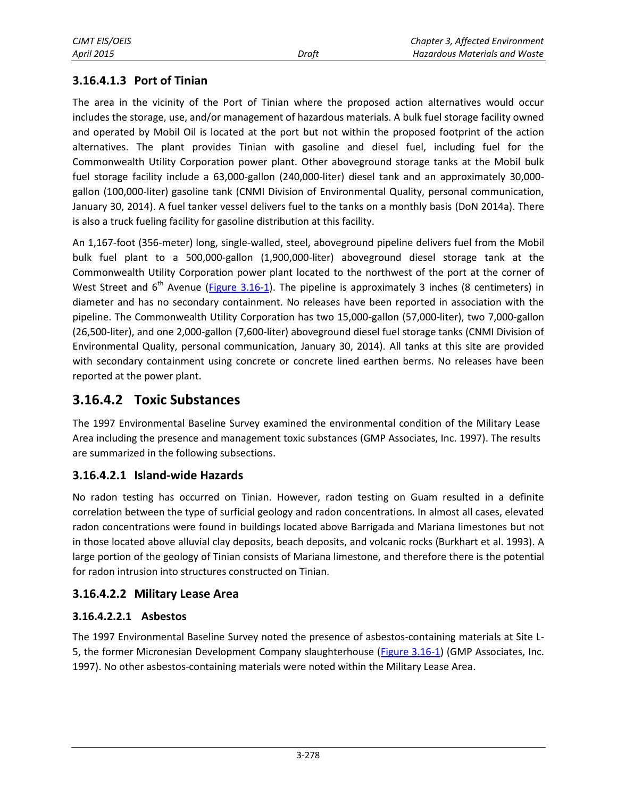#### **3.16.4.1.3 Port of Tinian**

The area in the vicinity of the Port of Tinian where the proposed action alternatives would occur includes the storage, use, and/or management of hazardous materials. A bulk fuel storage facility owned and operated by Mobil Oil is located at the port but not within the proposed footprint of the action alternatives. The plant provides Tinian with gasoline and diesel fuel, including fuel for the Commonwealth Utility Corporation power plant. Other aboveground storage tanks at the Mobil bulk fuel storage facility include a 63,000-gallon (240,000-liter) diesel tank and an approximately 30,000 gallon (100,000-liter) gasoline tank (CNMI Division of Environmental Quality, personal communication, January 30, 2014). A fuel tanker vessel delivers fuel to the tanks on a monthly basis (DoN 2014a). There is also a truck fueling facility for gasoline distribution at this facility.

An 1,167-foot (356-meter) long, single-walled, steel, aboveground pipeline delivers fuel from the Mobil bulk fuel plant to a 500,000-gallon (1,900,000-liter) aboveground diesel storage tank at the Commonwealth Utility Corporation power plant located to the northwest of the port at the corner of West Street and  $6<sup>th</sup>$  Avenue [\(Figure 3.16-1\)](#page-8-0). The pipeline is approximately 3 inches (8 centimeters) in diameter and has no secondary containment. No releases have been reported in association with the pipeline. The Commonwealth Utility Corporation has two 15,000-gallon (57,000-liter), two 7,000-gallon (26,500-liter), and one 2,000-gallon (7,600-liter) aboveground diesel fuel storage tanks (CNMI Division of Environmental Quality, personal communication, January 30, 2014). All tanks at this site are provided with secondary containment using concrete or concrete lined earthen berms. No releases have been reported at the power plant.

### **3.16.4.2 Toxic Substances**

The 1997 Environmental Baseline Survey examined the environmental condition of the Military Lease Area including the presence and management toxic substances (GMP Associates, Inc. 1997). The results are summarized in the following subsections.

#### **3.16.4.2.1 Island-wide Hazards**

No radon testing has occurred on Tinian. However, radon testing on Guam resulted in a definite correlation between the type of surficial geology and radon concentrations. In almost all cases, elevated radon concentrations were found in buildings located above Barrigada and Mariana limestones but not in those located above alluvial clay deposits, beach deposits, and volcanic rocks (Burkhart et al. 1993). A large portion of the geology of Tinian consists of Mariana limestone, and therefore there is the potential for radon intrusion into structures constructed on Tinian.

#### **3.16.4.2.2 Military Lease Area**

#### **3.16.4.2.2.1 Asbestos**

The 1997 Environmental Baseline Survey noted the presence of asbestos-containing materials at Site L-5, the former Micronesian Development Company slaughterhouse [\(Figure 3.16-1\)](#page-8-0) (GMP Associates, Inc. 1997). No other asbestos-containing materials were noted within the Military Lease Area.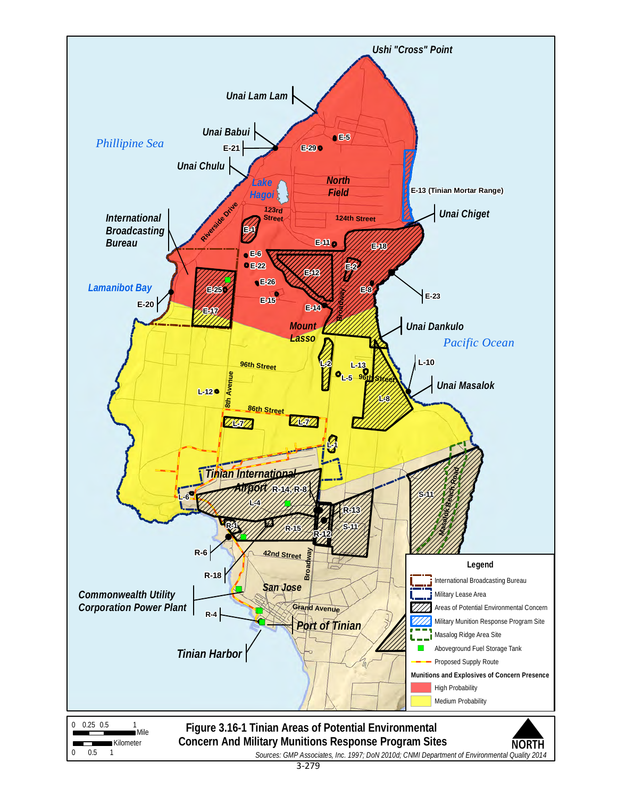<span id="page-8-0"></span>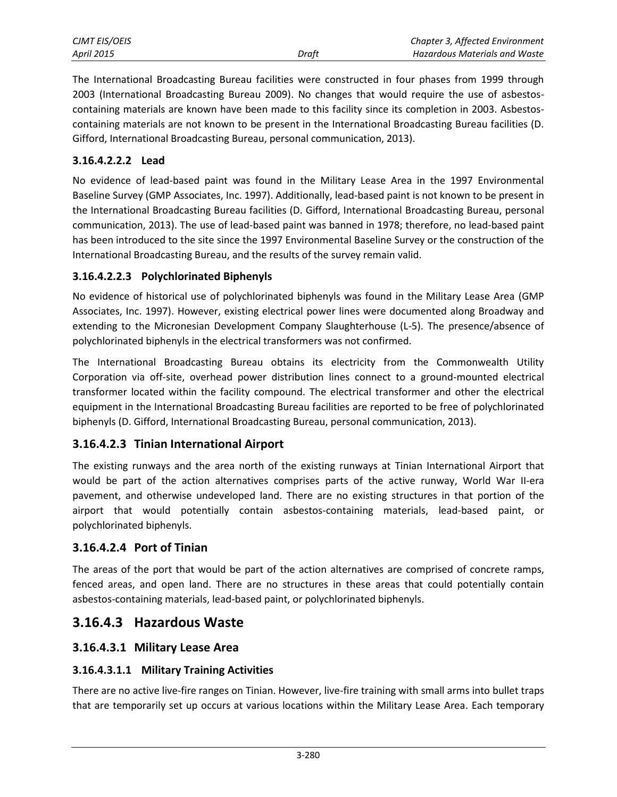| CJMT EIS/OEIS     |       | Chapter 3, Affected Environment      |
|-------------------|-------|--------------------------------------|
| <b>April 2015</b> | Draft | <b>Hazardous Materials and Waste</b> |

The International Broadcasting Bureau facilities were constructed in four phases from 1999 through 2003 (International Broadcasting Bureau 2009). No changes that would require the use of asbestoscontaining materials are known have been made to this facility since its completion in 2003. Asbestoscontaining materials are not known to be present in the International Broadcasting Bureau facilities (D. Gifford, International Broadcasting Bureau, personal communication, 2013).

#### **3.16.4.2.2.2 Lead**

No evidence of lead-based paint was found in the Military Lease Area in the 1997 Environmental Baseline Survey (GMP Associates, Inc. 1997). Additionally, lead-based paint is not known to be present in the International Broadcasting Bureau facilities (D. Gifford, International Broadcasting Bureau, personal communication, 2013). The use of lead-based paint was banned in 1978; therefore, no lead-based paint has been introduced to the site since the 1997 Environmental Baseline Survey or the construction of the International Broadcasting Bureau, and the results of the survey remain valid.

#### **3.16.4.2.2.3 Polychlorinated Biphenyls**

No evidence of historical use of polychlorinated biphenyls was found in the Military Lease Area (GMP Associates, Inc. 1997). However, existing electrical power lines were documented along Broadway and extending to the Micronesian Development Company Slaughterhouse (L-5). The presence/absence of polychlorinated biphenyls in the electrical transformers was not confirmed.

The International Broadcasting Bureau obtains its electricity from the Commonwealth Utility Corporation via off-site, overhead power distribution lines connect to a ground-mounted electrical transformer located within the facility compound. The electrical transformer and other the electrical equipment in the International Broadcasting Bureau facilities are reported to be free of polychlorinated biphenyls (D. Gifford, International Broadcasting Bureau, personal communication, 2013).

#### **3.16.4.2.3 Tinian International Airport**

The existing runways and the area north of the existing runways at Tinian International Airport that would be part of the action alternatives comprises parts of the active runway, World War II-era pavement, and otherwise undeveloped land. There are no existing structures in that portion of the airport that would potentially contain asbestos-containing materials, lead-based paint, or polychlorinated biphenyls.

#### **3.16.4.2.4 Port of Tinian**

The areas of the port that would be part of the action alternatives are comprised of concrete ramps, fenced areas, and open land. There are no structures in these areas that could potentially contain asbestos-containing materials, lead-based paint, or polychlorinated biphenyls.

### **3.16.4.3 Hazardous Waste**

#### **3.16.4.3.1 Military Lease Area**

#### **3.16.4.3.1.1 Military Training Activities**

There are no active live-fire ranges on Tinian. However, live-fire training with small arms into bullet traps that are temporarily set up occurs at various locations within the Military Lease Area. Each temporary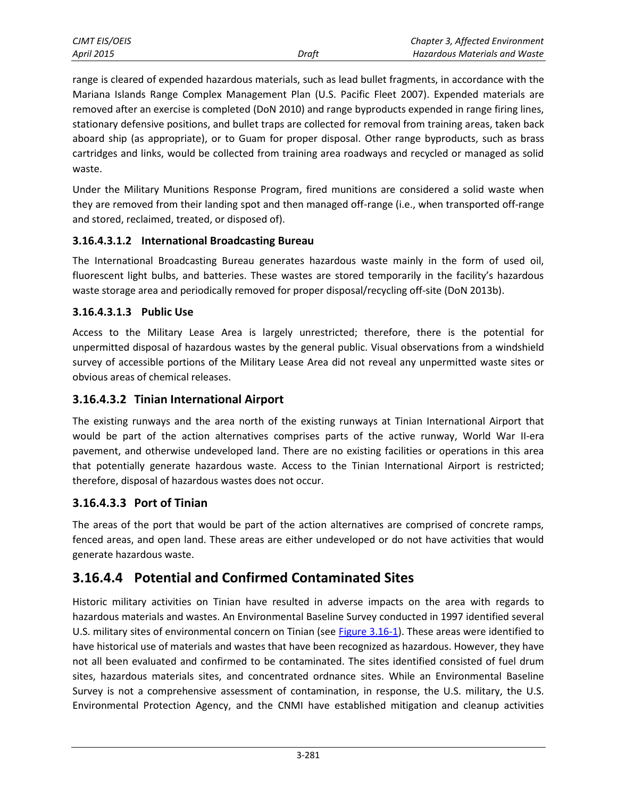| CJMT EIS/OEIS |       | Chapter 3, Affected Environment      |
|---------------|-------|--------------------------------------|
| April 2015    | Draft | <b>Hazardous Materials and Waste</b> |

range is cleared of expended hazardous materials, such as lead bullet fragments, in accordance with the Mariana Islands Range Complex Management Plan (U.S. Pacific Fleet 2007). Expended materials are removed after an exercise is completed (DoN 2010) and range byproducts expended in range firing lines, stationary defensive positions, and bullet traps are collected for removal from training areas, taken back aboard ship (as appropriate), or to Guam for proper disposal. Other range byproducts, such as brass cartridges and links, would be collected from training area roadways and recycled or managed as solid waste.

Under the Military Munitions Response Program, fired munitions are considered a solid waste when they are removed from their landing spot and then managed off-range (i.e., when transported off-range and stored, reclaimed, treated, or disposed of).

#### **3.16.4.3.1.2 International Broadcasting Bureau**

The International Broadcasting Bureau generates hazardous waste mainly in the form of used oil, fluorescent light bulbs, and batteries. These wastes are stored temporarily in the facility's hazardous waste storage area and periodically removed for proper disposal/recycling off-site (DoN 2013b).

#### **3.16.4.3.1.3 Public Use**

Access to the Military Lease Area is largely unrestricted; therefore, there is the potential for unpermitted disposal of hazardous wastes by the general public. Visual observations from a windshield survey of accessible portions of the Military Lease Area did not reveal any unpermitted waste sites or obvious areas of chemical releases.

#### **3.16.4.3.2 Tinian International Airport**

The existing runways and the area north of the existing runways at Tinian International Airport that would be part of the action alternatives comprises parts of the active runway, World War II-era pavement, and otherwise undeveloped land. There are no existing facilities or operations in this area that potentially generate hazardous waste. Access to the Tinian International Airport is restricted; therefore, disposal of hazardous wastes does not occur.

#### **3.16.4.3.3 Port of Tinian**

The areas of the port that would be part of the action alternatives are comprised of concrete ramps, fenced areas, and open land. These areas are either undeveloped or do not have activities that would generate hazardous waste.

### **3.16.4.4 Potential and Confirmed Contaminated Sites**

Historic military activities on Tinian have resulted in adverse impacts on the area with regards to hazardous materials and wastes. An Environmental Baseline Survey conducted in 1997 identified several U.S. military sites of environmental concern on Tinian (see [Figure 3.16-1\)](#page-8-0). These areas were identified to have historical use of materials and wastes that have been recognized as hazardous. However, they have not all been evaluated and confirmed to be contaminated. The sites identified consisted of fuel drum sites, hazardous materials sites, and concentrated ordnance sites. While an Environmental Baseline Survey is not a comprehensive assessment of contamination, in response, the U.S. military, the U.S. Environmental Protection Agency, and the CNMI have established mitigation and cleanup activities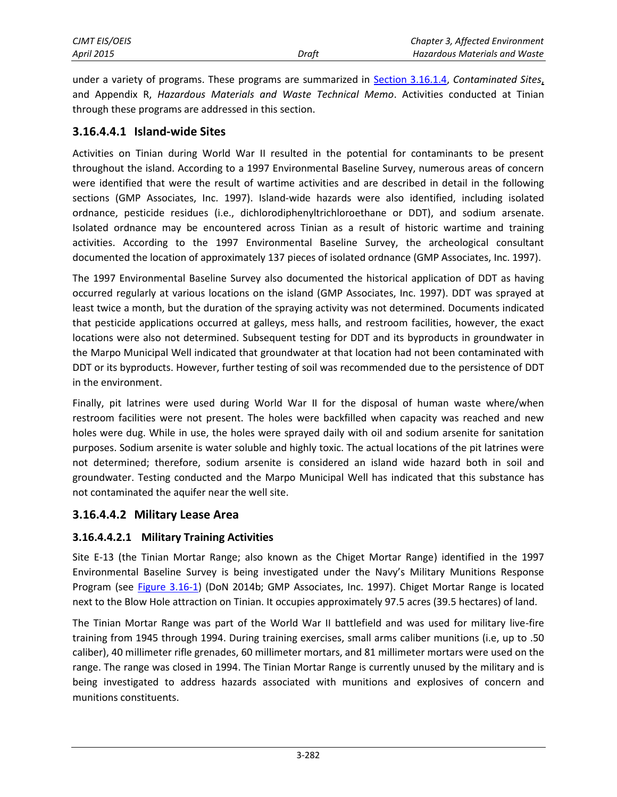under a variety of programs. These programs are summarized in [Section 3.16.1.4,](#page-1-0) *Contaminated Sites*, and Appendix R, *Hazardous Materials and Waste Technical Memo*. Activities conducted at Tinian through these programs are addressed in this section.

#### **3.16.4.4.1 Island-wide Sites**

Activities on Tinian during World War II resulted in the potential for contaminants to be present throughout the island. According to a 1997 Environmental Baseline Survey, numerous areas of concern were identified that were the result of wartime activities and are described in detail in the following sections (GMP Associates, Inc. 1997). Island-wide hazards were also identified, including isolated ordnance, pesticide residues (i.e., dichlorodiphenyltrichloroethane or DDT), and sodium arsenate. Isolated ordnance may be encountered across Tinian as a result of historic wartime and training activities. According to the 1997 Environmental Baseline Survey, the archeological consultant documented the location of approximately 137 pieces of isolated ordnance (GMP Associates, Inc. 1997).

The 1997 Environmental Baseline Survey also documented the historical application of DDT as having occurred regularly at various locations on the island (GMP Associates, Inc. 1997). DDT was sprayed at least twice a month, but the duration of the spraying activity was not determined. Documents indicated that pesticide applications occurred at galleys, mess halls, and restroom facilities, however, the exact locations were also not determined. Subsequent testing for DDT and its byproducts in groundwater in the Marpo Municipal Well indicated that groundwater at that location had not been contaminated with DDT or its byproducts. However, further testing of soil was recommended due to the persistence of DDT in the environment.

Finally, pit latrines were used during World War II for the disposal of human waste where/when restroom facilities were not present. The holes were backfilled when capacity was reached and new holes were dug. While in use, the holes were sprayed daily with oil and sodium arsenite for sanitation purposes. Sodium arsenite is water soluble and highly toxic. The actual locations of the pit latrines were not determined; therefore, sodium arsenite is considered an island wide hazard both in soil and groundwater. Testing conducted and the Marpo Municipal Well has indicated that this substance has not contaminated the aquifer near the well site.

#### **3.16.4.4.2 Military Lease Area**

#### **3.16.4.4.2.1 Military Training Activities**

Site E-13 (the Tinian Mortar Range; also known as the Chiget Mortar Range) identified in the 1997 Environmental Baseline Survey is being investigated under the Navy's Military Munitions Response Program (see [Figure 3.16-1\)](#page-8-0) (DoN 2014b; GMP Associates, Inc. 1997). Chiget Mortar Range is located next to the Blow Hole attraction on Tinian. It occupies approximately 97.5 acres (39.5 hectares) of land.

The Tinian Mortar Range was part of the World War II battlefield and was used for military live-fire training from 1945 through 1994. During training exercises, small arms caliber munitions (i.e, up to .50 caliber), 40 millimeter rifle grenades, 60 millimeter mortars, and 81 millimeter mortars were used on the range. The range was closed in 1994. The Tinian Mortar Range is currently unused by the military and is being investigated to address hazards associated with munitions and explosives of concern and munitions constituents.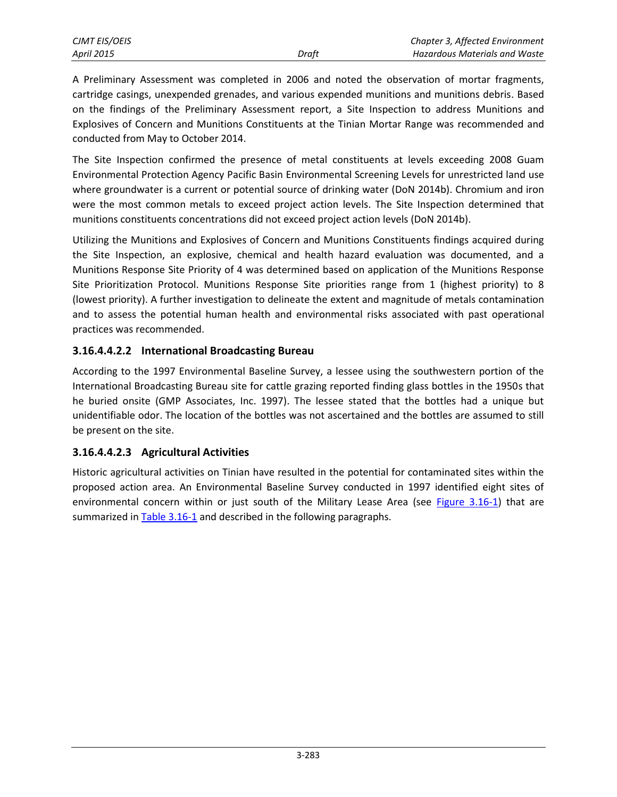A Preliminary Assessment was completed in 2006 and noted the observation of mortar fragments, cartridge casings, unexpended grenades, and various expended munitions and munitions debris. Based on the findings of the Preliminary Assessment report, a Site Inspection to address Munitions and Explosives of Concern and Munitions Constituents at the Tinian Mortar Range was recommended and conducted from May to October 2014.

The Site Inspection confirmed the presence of metal constituents at levels exceeding 2008 Guam Environmental Protection Agency Pacific Basin Environmental Screening Levels for unrestricted land use where groundwater is a current or potential source of drinking water (DoN 2014b). Chromium and iron were the most common metals to exceed project action levels. The Site Inspection determined that munitions constituents concentrations did not exceed project action levels (DoN 2014b).

Utilizing the Munitions and Explosives of Concern and Munitions Constituents findings acquired during the Site Inspection, an explosive, chemical and health hazard evaluation was documented, and a Munitions Response Site Priority of 4 was determined based on application of the Munitions Response Site Prioritization Protocol. Munitions Response Site priorities range from 1 (highest priority) to 8 (lowest priority). A further investigation to delineate the extent and magnitude of metals contamination and to assess the potential human health and environmental risks associated with past operational practices was recommended.

#### **3.16.4.4.2.2 International Broadcasting Bureau**

According to the 1997 Environmental Baseline Survey, a lessee using the southwestern portion of the International Broadcasting Bureau site for cattle grazing reported finding glass bottles in the 1950s that he buried onsite (GMP Associates, Inc. 1997). The lessee stated that the bottles had a unique but unidentifiable odor. The location of the bottles was not ascertained and the bottles are assumed to still be present on the site.

#### **3.16.4.4.2.3 Agricultural Activities**

<span id="page-12-0"></span>Historic agricultural activities on Tinian have resulted in the potential for contaminated sites within the proposed action area. An Environmental Baseline Survey conducted in 1997 identified eight sites of environmental concern within or just south of the Military Lease Area (see [Figure 3.16-1\)](#page-8-0) that are summarized in [Table 3.16-1](#page-12-0) and described in the following paragraphs.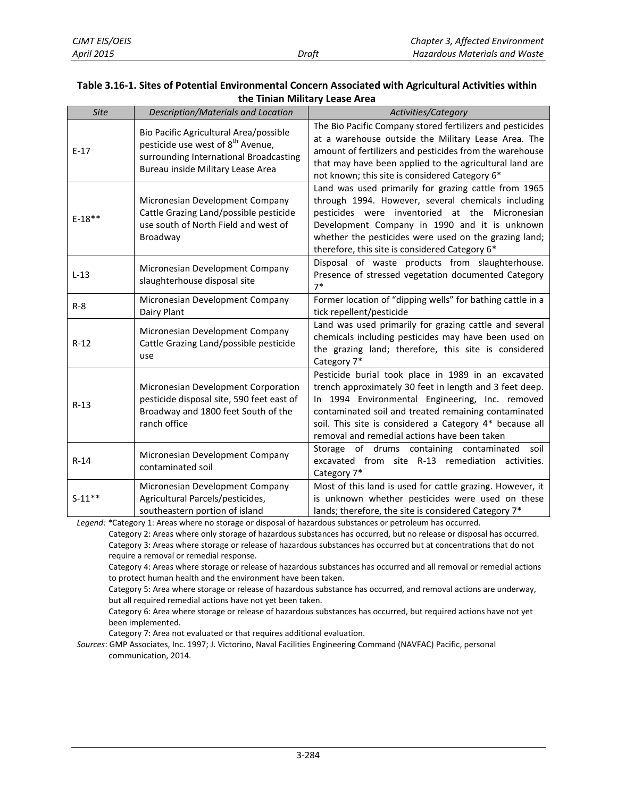#### **Table 3.16-1. Sites of Potential Environmental Concern Associated with Agricultural Activities within the Tinian Military Lease Area**

| <b>Site</b> | Description/Materials and Location                                                                                                                                     | Activities/Category                                                                                                                                                                                                                                                                                                                  |
|-------------|------------------------------------------------------------------------------------------------------------------------------------------------------------------------|--------------------------------------------------------------------------------------------------------------------------------------------------------------------------------------------------------------------------------------------------------------------------------------------------------------------------------------|
| $E-17$      | Bio Pacific Agricultural Area/possible<br>pesticide use west of 8 <sup>th</sup> Avenue,<br>surrounding International Broadcasting<br>Bureau inside Military Lease Area | The Bio Pacific Company stored fertilizers and pesticides<br>at a warehouse outside the Military Lease Area. The<br>amount of fertilizers and pesticides from the warehouse<br>that may have been applied to the agricultural land are<br>not known; this site is considered Category 6*                                             |
| $E-18**$    | Micronesian Development Company<br>Cattle Grazing Land/possible pesticide<br>use south of North Field and west of<br>Broadway                                          | Land was used primarily for grazing cattle from 1965<br>through 1994. However, several chemicals including<br>pesticides were inventoried at the Micronesian<br>Development Company in 1990 and it is unknown<br>whether the pesticides were used on the grazing land;<br>therefore, this site is considered Category 6*             |
| $L-13$      | Micronesian Development Company<br>slaughterhouse disposal site                                                                                                        | Disposal of waste products from slaughterhouse.<br>Presence of stressed vegetation documented Category<br>$7*$                                                                                                                                                                                                                       |
| $R - 8$     | Micronesian Development Company<br>Dairy Plant                                                                                                                         | Former location of "dipping wells" for bathing cattle in a<br>tick repellent/pesticide                                                                                                                                                                                                                                               |
| $R-12$      | Micronesian Development Company<br>Cattle Grazing Land/possible pesticide<br>use                                                                                       | Land was used primarily for grazing cattle and several<br>chemicals including pesticides may have been used on<br>the grazing land; therefore, this site is considered<br>Category 7*                                                                                                                                                |
| $R-13$      | Micronesian Development Corporation<br>pesticide disposal site, 590 feet east of<br>Broadway and 1800 feet South of the<br>ranch office                                | Pesticide burial took place in 1989 in an excavated<br>trench approximately 30 feet in length and 3 feet deep.<br>In 1994 Environmental Engineering, Inc. removed<br>contaminated soil and treated remaining contaminated<br>soil. This site is considered a Category 4* because all<br>removal and remedial actions have been taken |
| $R-14$      | Micronesian Development Company<br>contaminated soil                                                                                                                   | Storage of drums containing contaminated<br>soil<br>excavated from site R-13 remediation activities.<br>Category 7*                                                                                                                                                                                                                  |
| $S-11**$    | Micronesian Development Company<br>Agricultural Parcels/pesticides,<br>southeastern portion of island                                                                  | Most of this land is used for cattle grazing. However, it<br>is unknown whether pesticides were used on these<br>lands; therefore, the site is considered Category 7*                                                                                                                                                                |

*Legend: \**Category 1: Areas where no storage or disposal of hazardous substances or petroleum has occurred.

Category 2: Areas where only storage of hazardous substances has occurred, but no release or disposal has occurred. Category 3: Areas where storage or release of hazardous substances has occurred but at concentrations that do not require a removal or remedial response.

Category 4: Areas where storage or release of hazardous substances has occurred and all removal or remedial actions to protect human health and the environment have been taken.

Category 5: Area where storage or release of hazardous substance has occurred, and removal actions are underway, but all required remedial actions have not yet been taken.

Category 6: Area where storage or release of hazardous substances has occurred, but required actions have not yet been implemented.

Category 7: Area not evaluated or that requires additional evaluation.

*Sources*: GMP Associates, Inc. 1997; J. Victorino, Naval Facilities Engineering Command (NAVFAC) Pacific, personal communication, 2014.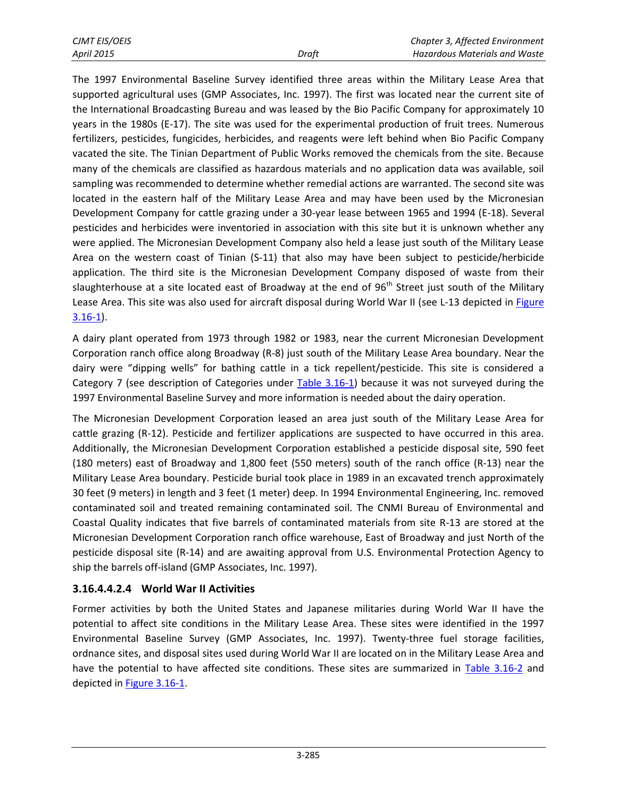The 1997 Environmental Baseline Survey identified three areas within the Military Lease Area that supported agricultural uses (GMP Associates, Inc. 1997). The first was located near the current site of the International Broadcasting Bureau and was leased by the Bio Pacific Company for approximately 10 years in the 1980s (E-17). The site was used for the experimental production of fruit trees. Numerous fertilizers, pesticides, fungicides, herbicides, and reagents were left behind when Bio Pacific Company vacated the site. The Tinian Department of Public Works removed the chemicals from the site. Because many of the chemicals are classified as hazardous materials and no application data was available, soil sampling was recommended to determine whether remedial actions are warranted. The second site was located in the eastern half of the Military Lease Area and may have been used by the Micronesian Development Company for cattle grazing under a 30-year lease between 1965 and 1994 (E-18). Several pesticides and herbicides were inventoried in association with this site but it is unknown whether any were applied. The Micronesian Development Company also held a lease just south of the Military Lease Area on the western coast of Tinian (S-11) that also may have been subject to pesticide/herbicide application. The third site is the Micronesian Development Company disposed of waste from their slaughterhouse at a site located east of Broadway at the end of  $96<sup>th</sup>$  Street just south of the Military Lease Area. This site was also used for aircraft disposal during World War II (see L-13 depicted in Figure  $3.16-1$ .

A dairy plant operated from 1973 through 1982 or 1983, near the current Micronesian Development Corporation ranch office along Broadway (R-8) just south of the Military Lease Area boundary. Near the dairy were "dipping wells" for bathing cattle in a tick repellent/pesticide. This site is considered a Category 7 (see description of Categories under [Table 3.16-1\)](#page-12-0) because it was not surveyed during the 1997 Environmental Baseline Survey and more information is needed about the dairy operation.

The Micronesian Development Corporation leased an area just south of the Military Lease Area for cattle grazing (R-12). Pesticide and fertilizer applications are suspected to have occurred in this area. Additionally, the Micronesian Development Corporation established a pesticide disposal site, 590 feet (180 meters) east of Broadway and 1,800 feet (550 meters) south of the ranch office (R-13) near the Military Lease Area boundary. Pesticide burial took place in 1989 in an excavated trench approximately 30 feet (9 meters) in length and 3 feet (1 meter) deep. In 1994 Environmental Engineering, Inc. removed contaminated soil and treated remaining contaminated soil. The CNMI Bureau of Environmental and Coastal Quality indicates that five barrels of contaminated materials from site R-13 are stored at the Micronesian Development Corporation ranch office warehouse, East of Broadway and just North of the pesticide disposal site (R-14) and are awaiting approval from U.S. Environmental Protection Agency to ship the barrels off-island (GMP Associates, Inc. 1997).

#### **3.16.4.4.2.4 World War II Activities**

Former activities by both the United States and Japanese militaries during World War II have the potential to affect site conditions in the Military Lease Area. These sites were identified in the 1997 Environmental Baseline Survey (GMP Associates, Inc. 1997). Twenty-three fuel storage facilities, ordnance sites, and disposal sites used during World War II are located on in the Military Lease Area and have the potential to have affected site conditions. These sites are summarized in [Table 3.16-2](#page-15-0) and depicted in [Figure 3.16-1.](#page-8-0)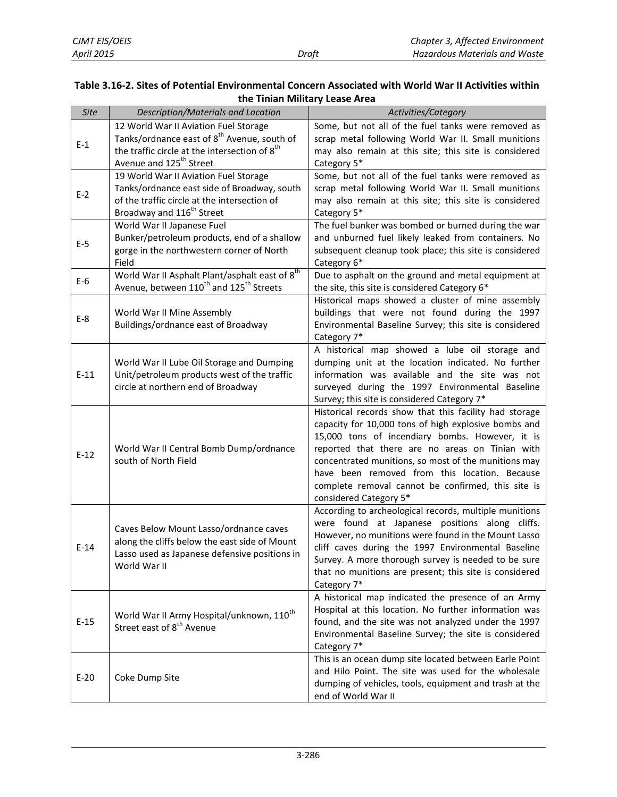#### <span id="page-15-0"></span>**Table 3.16-2. Sites of Potential Environmental Concern Associated with World War II Activities within the Tinian Military Lease Area**

| <b>Site</b> | Description/Materials and Location                                                                                            | Activities/Category                                                                                |
|-------------|-------------------------------------------------------------------------------------------------------------------------------|----------------------------------------------------------------------------------------------------|
|             | 12 World War II Aviation Fuel Storage                                                                                         | Some, but not all of the fuel tanks were removed as                                                |
| $E-1$       | Tanks/ordnance east of 8 <sup>th</sup> Avenue, south of                                                                       | scrap metal following World War II. Small munitions                                                |
|             | the traffic circle at the intersection of 8 <sup>th</sup>                                                                     | may also remain at this site; this site is considered                                              |
|             | Avenue and 125 <sup>th</sup> Street                                                                                           | Category 5*                                                                                        |
|             | 19 World War II Aviation Fuel Storage                                                                                         | Some, but not all of the fuel tanks were removed as                                                |
| $E-2$       | Tanks/ordnance east side of Broadway, south                                                                                   | scrap metal following World War II. Small munitions                                                |
|             | of the traffic circle at the intersection of                                                                                  | may also remain at this site; this site is considered                                              |
|             | Broadway and 116 <sup>th</sup> Street                                                                                         | Category 5*                                                                                        |
|             | World War II Japanese Fuel                                                                                                    | The fuel bunker was bombed or burned during the war                                                |
| E-5         | Bunker/petroleum products, end of a shallow                                                                                   | and unburned fuel likely leaked from containers. No                                                |
|             | gorge in the northwestern corner of North                                                                                     | subsequent cleanup took place; this site is considered                                             |
|             | Field                                                                                                                         | Category 6*                                                                                        |
| $E-6$       | World War II Asphalt Plant/asphalt east of 8 <sup>th</sup><br>Avenue, between 110 <sup>th</sup> and 125 <sup>th</sup> Streets | Due to asphalt on the ground and metal equipment at                                                |
|             |                                                                                                                               | the site, this site is considered Category 6*                                                      |
|             | World War II Mine Assembly                                                                                                    | Historical maps showed a cluster of mine assembly<br>buildings that were not found during the 1997 |
| $E-8$       | Buildings/ordnance east of Broadway                                                                                           | Environmental Baseline Survey; this site is considered                                             |
|             |                                                                                                                               | Category 7*                                                                                        |
|             |                                                                                                                               | A historical map showed a lube oil storage and                                                     |
|             | World War II Lube Oil Storage and Dumping                                                                                     | dumping unit at the location indicated. No further                                                 |
| $E-11$      | Unit/petroleum products west of the traffic                                                                                   | information was available and the site was not                                                     |
|             | circle at northern end of Broadway                                                                                            | surveyed during the 1997 Environmental Baseline                                                    |
|             |                                                                                                                               | Survey; this site is considered Category 7*                                                        |
|             |                                                                                                                               | Historical records show that this facility had storage                                             |
|             |                                                                                                                               | capacity for 10,000 tons of high explosive bombs and                                               |
|             |                                                                                                                               | 15,000 tons of incendiary bombs. However, it is                                                    |
|             | World War II Central Bomb Dump/ordnance                                                                                       | reported that there are no areas on Tinian with                                                    |
| $E-12$      | south of North Field                                                                                                          | concentrated munitions, so most of the munitions may                                               |
|             |                                                                                                                               | have been removed from this location. Because                                                      |
|             |                                                                                                                               | complete removal cannot be confirmed, this site is                                                 |
|             |                                                                                                                               | considered Category 5*                                                                             |
|             |                                                                                                                               | According to archeological records, multiple munitions                                             |
|             | Caves Below Mount Lasso/ordnance caves                                                                                        | were found at Japanese positions along cliffs.                                                     |
|             | along the cliffs below the east side of Mount                                                                                 | However, no munitions were found in the Mount Lasso                                                |
| $E-14$      | Lasso used as Japanese defensive positions in                                                                                 | cliff caves during the 1997 Environmental Baseline                                                 |
|             | World War II                                                                                                                  | Survey. A more thorough survey is needed to be sure                                                |
|             |                                                                                                                               | that no munitions are present; this site is considered                                             |
|             |                                                                                                                               | Category 7*                                                                                        |
|             |                                                                                                                               | A historical map indicated the presence of an Army                                                 |
|             | World War II Army Hospital/unknown, 110 <sup>th</sup>                                                                         | Hospital at this location. No further information was                                              |
| $E-15$      | Street east of 8 <sup>th</sup> Avenue                                                                                         | found, and the site was not analyzed under the 1997                                                |
|             |                                                                                                                               | Environmental Baseline Survey; the site is considered<br>Category 7*                               |
|             |                                                                                                                               | This is an ocean dump site located between Earle Point                                             |
|             |                                                                                                                               | and Hilo Point. The site was used for the wholesale                                                |
| $E-20$      | Coke Dump Site                                                                                                                | dumping of vehicles, tools, equipment and trash at the                                             |
|             |                                                                                                                               | end of World War II                                                                                |
|             |                                                                                                                               |                                                                                                    |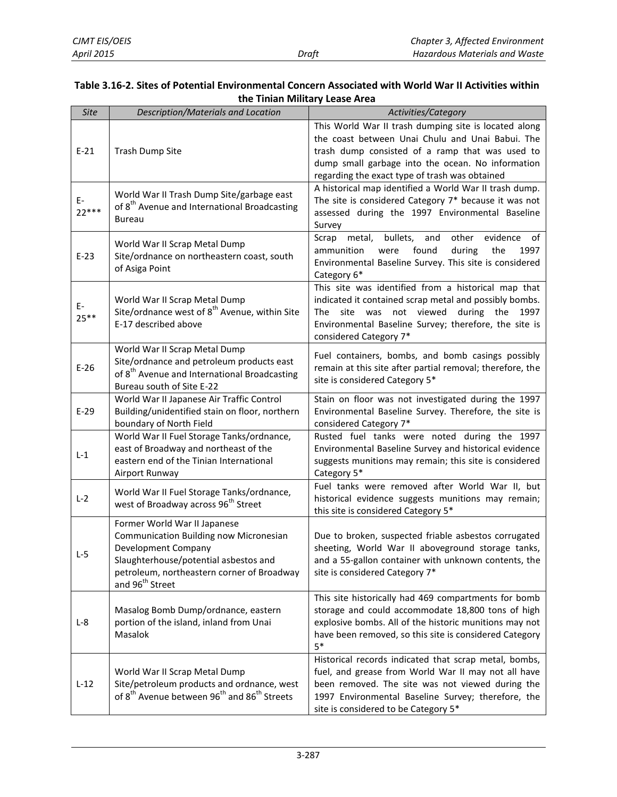#### **Table 3.16-2. Sites of Potential Environmental Concern Associated with World War II Activities within the Tinian Military Lease Area**

| <b>Site</b>   | Description/Materials and Location                                                                                                                                                                                         | Activities/Category                                                                                                                                                                                                                                                                                                           |
|---------------|----------------------------------------------------------------------------------------------------------------------------------------------------------------------------------------------------------------------------|-------------------------------------------------------------------------------------------------------------------------------------------------------------------------------------------------------------------------------------------------------------------------------------------------------------------------------|
| $E-21$        | Trash Dump Site                                                                                                                                                                                                            | This World War II trash dumping site is located along<br>the coast between Unai Chulu and Unai Babui. The<br>trash dump consisted of a ramp that was used to<br>dump small garbage into the ocean. No information<br>regarding the exact type of trash was obtained<br>A historical map identified a World War II trash dump. |
| E-<br>$22***$ | World War II Trash Dump Site/garbage east<br>of 8 <sup>th</sup> Avenue and International Broadcasting<br>Bureau                                                                                                            | The site is considered Category 7* because it was not<br>assessed during the 1997 Environmental Baseline<br>Survey                                                                                                                                                                                                            |
| $E-23$        | World War II Scrap Metal Dump<br>Site/ordnance on northeastern coast, south<br>of Asiga Point                                                                                                                              | bullets,<br>metal,<br>and<br>other<br>evidence<br>Scrap<br>of<br>found<br>ammunition<br>were<br>during<br>the<br>1997<br>Environmental Baseline Survey. This site is considered<br>Category 6*                                                                                                                                |
| E-<br>$25***$ | World War II Scrap Metal Dump<br>Site/ordnance west of 8 <sup>th</sup> Avenue, within Site<br>E-17 described above                                                                                                         | This site was identified from a historical map that<br>indicated it contained scrap metal and possibly bombs.<br>not viewed<br>during<br>The<br>site<br>was<br>the<br>1997<br>Environmental Baseline Survey; therefore, the site is<br>considered Category 7*                                                                 |
| $E-26$        | World War II Scrap Metal Dump<br>Site/ordnance and petroleum products east<br>of 8 <sup>th</sup> Avenue and International Broadcasting<br>Bureau south of Site E-22                                                        | Fuel containers, bombs, and bomb casings possibly<br>remain at this site after partial removal; therefore, the<br>site is considered Category 5*                                                                                                                                                                              |
| $E-29$        | World War II Japanese Air Traffic Control<br>Building/unidentified stain on floor, northern<br>boundary of North Field                                                                                                     | Stain on floor was not investigated during the 1997<br>Environmental Baseline Survey. Therefore, the site is<br>considered Category 7*                                                                                                                                                                                        |
| $L-1$         | World War II Fuel Storage Tanks/ordnance,<br>east of Broadway and northeast of the<br>eastern end of the Tinian International<br>Airport Runway                                                                            | Rusted fuel tanks were noted during the 1997<br>Environmental Baseline Survey and historical evidence<br>suggests munitions may remain; this site is considered<br>Category 5*                                                                                                                                                |
| $L-2$         | World War II Fuel Storage Tanks/ordnance,<br>west of Broadway across 96 <sup>th</sup> Street                                                                                                                               | Fuel tanks were removed after World War II, but<br>historical evidence suggests munitions may remain;<br>this site is considered Category 5*                                                                                                                                                                                  |
| $L-5$         | Former World War II Japanese<br><b>Communication Building now Micronesian</b><br>Development Company<br>Slaughterhouse/potential asbestos and<br>petroleum, northeastern corner of Broadway<br>and 96 <sup>th</sup> Street | Due to broken, suspected friable asbestos corrugated<br>sheeting, World War II aboveground storage tanks,<br>and a 55-gallon container with unknown contents, the<br>site is considered Category 7*                                                                                                                           |
| $L-8$         | Masalog Bomb Dump/ordnance, eastern<br>portion of the island, inland from Unai<br>Masalok                                                                                                                                  | This site historically had 469 compartments for bomb<br>storage and could accommodate 18,800 tons of high<br>explosive bombs. All of the historic munitions may not<br>have been removed, so this site is considered Category<br>$5*$                                                                                         |
| $L-12$        | World War II Scrap Metal Dump<br>Site/petroleum products and ordnance, west<br>of 8 <sup>th</sup> Avenue between 96 <sup>th</sup> and 86 <sup>th</sup> Streets                                                             | Historical records indicated that scrap metal, bombs,<br>fuel, and grease from World War II may not all have<br>been removed. The site was not viewed during the<br>1997 Environmental Baseline Survey; therefore, the<br>site is considered to be Category 5*                                                                |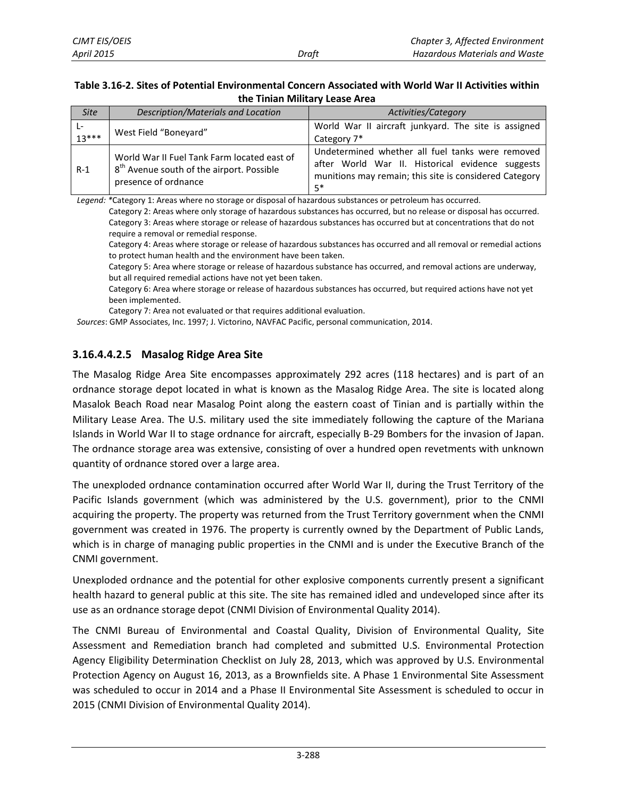#### **Table 3.16-2. Sites of Potential Environmental Concern Associated with World War II Activities within the Tinian Military Lease Area**

| <b>Site</b>   | Description/Materials and Location                                                                                           | Activities/Category                                                                                                                                                    |
|---------------|------------------------------------------------------------------------------------------------------------------------------|------------------------------------------------------------------------------------------------------------------------------------------------------------------------|
| Ŀ-<br>$13***$ | West Field "Boneyard"                                                                                                        | World War II aircraft junkyard. The site is assigned<br>Category 7*                                                                                                    |
| $R-1$         | World War II Fuel Tank Farm located east of<br>8 <sup>th</sup> Avenue south of the airport. Possible<br>presence of ordnance | Undetermined whether all fuel tanks were removed<br>after World War II. Historical evidence suggests<br>munitions may remain; this site is considered Category<br>$5*$ |

*Legend: \**Category 1: Areas where no storage or disposal of hazardous substances or petroleum has occurred.

Category 2: Areas where only storage of hazardous substances has occurred, but no release or disposal has occurred. Category 3: Areas where storage or release of hazardous substances has occurred but at concentrations that do not require a removal or remedial response.

Category 4: Areas where storage or release of hazardous substances has occurred and all removal or remedial actions to protect human health and the environment have been taken.

Category 5: Area where storage or release of hazardous substance has occurred, and removal actions are underway, but all required remedial actions have not yet been taken.

Category 6: Area where storage or release of hazardous substances has occurred, but required actions have not yet been implemented.

Category 7: Area not evaluated or that requires additional evaluation.

*Sources*: GMP Associates, Inc. 1997; J. Victorino, NAVFAC Pacific, personal communication, 2014.

#### **3.16.4.4.2.5 Masalog Ridge Area Site**

The Masalog Ridge Area Site encompasses approximately 292 acres (118 hectares) and is part of an ordnance storage depot located in what is known as the Masalog Ridge Area. The site is located along Masalok Beach Road near Masalog Point along the eastern coast of Tinian and is partially within the Military Lease Area. The U.S. military used the site immediately following the capture of the Mariana Islands in World War II to stage ordnance for aircraft, especially B-29 Bombers for the invasion of Japan. The ordnance storage area was extensive, consisting of over a hundred open revetments with unknown quantity of ordnance stored over a large area.

The unexploded ordnance contamination occurred after World War II, during the Trust Territory of the Pacific Islands government (which was administered by the U.S. government), prior to the CNMI acquiring the property. The property was returned from the Trust Territory government when the CNMI government was created in 1976. The property is currently owned by the Department of Public Lands, which is in charge of managing public properties in the CNMI and is under the Executive Branch of the CNMI government.

Unexploded ordnance and the potential for other explosive components currently present a significant health hazard to general public at this site. The site has remained idled and undeveloped since after its use as an ordnance storage depot (CNMI Division of Environmental Quality 2014).

The CNMI Bureau of Environmental and Coastal Quality, Division of Environmental Quality, Site Assessment and Remediation branch had completed and submitted U.S. Environmental Protection Agency Eligibility Determination Checklist on July 28, 2013, which was approved by U.S. Environmental Protection Agency on August 16, 2013, as a Brownfields site. A Phase 1 Environmental Site Assessment was scheduled to occur in 2014 and a Phase II Environmental Site Assessment is scheduled to occur in 2015 (CNMI Division of Environmental Quality 2014).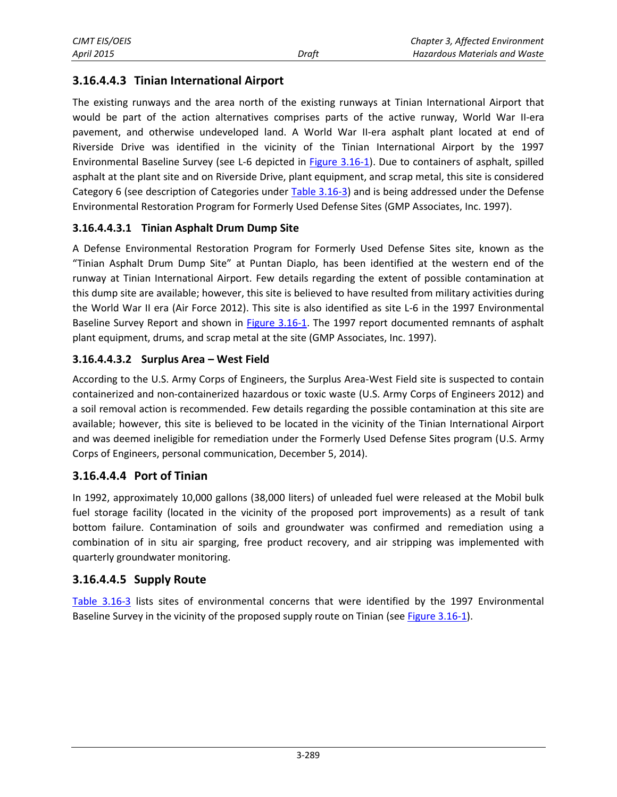### **3.16.4.4.3 Tinian International Airport**

The existing runways and the area north of the existing runways at Tinian International Airport that would be part of the action alternatives comprises parts of the active runway, World War II-era pavement, and otherwise undeveloped land. A World War II-era asphalt plant located at end of Riverside Drive was identified in the vicinity of the Tinian International Airport by the 1997 Environmental Baseline Survey (see L-6 depicted in [Figure 3.16-1\)](#page-8-0). Due to containers of asphalt, spilled asphalt at the plant site and on Riverside Drive, plant equipment, and scrap metal, this site is considered Category 6 (see description of Categories under [Table 3.16-3\)](#page-19-0) and is being addressed under the Defense Environmental Restoration Program for Formerly Used Defense Sites (GMP Associates, Inc. 1997).

#### **3.16.4.4.3.1 Tinian Asphalt Drum Dump Site**

A Defense Environmental Restoration Program for Formerly Used Defense Sites site, known as the "Tinian Asphalt Drum Dump Site" at Puntan Diaplo, has been identified at the western end of the runway at Tinian International Airport. Few details regarding the extent of possible contamination at this dump site are available; however, this site is believed to have resulted from military activities during the World War II era (Air Force 2012). This site is also identified as site L-6 in the 1997 Environmental Baseline Survey Report and shown in [Figure 3.16-1.](#page-8-0) The 1997 report documented remnants of asphalt plant equipment, drums, and scrap metal at the site (GMP Associates, Inc. 1997).

#### **3.16.4.4.3.2 Surplus Area – West Field**

According to the U.S. Army Corps of Engineers, the Surplus Area-West Field site is suspected to contain containerized and non-containerized hazardous or toxic waste (U.S. Army Corps of Engineers 2012) and a soil removal action is recommended. Few details regarding the possible contamination at this site are available; however, this site is believed to be located in the vicinity of the Tinian International Airport and was deemed ineligible for remediation under the Formerly Used Defense Sites program (U.S. Army Corps of Engineers, personal communication, December 5, 2014).

#### **3.16.4.4.4 Port of Tinian**

In 1992, approximately 10,000 gallons (38,000 liters) of unleaded fuel were released at the Mobil bulk fuel storage facility (located in the vicinity of the proposed port improvements) as a result of tank bottom failure. Contamination of soils and groundwater was confirmed and remediation using a combination of in situ air sparging, free product recovery, and air stripping was implemented with quarterly groundwater monitoring.

#### **3.16.4.4.5 Supply Route**

[Table 3.16-3](#page-19-0) lists sites of environmental concerns that were identified by the 1997 Environmental Baseline Survey in the vicinity of the proposed supply route on Tinian (se[e Figure 3.16-1\)](#page-8-0).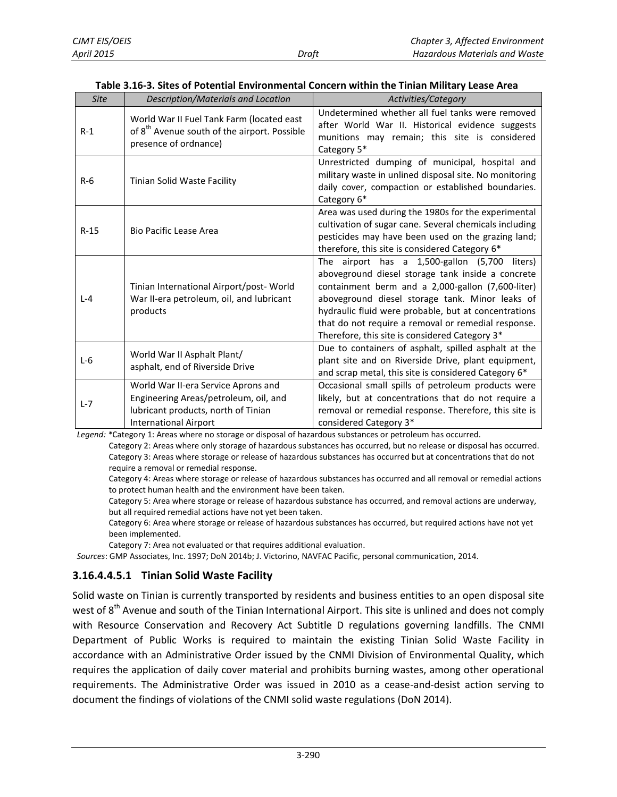| <b>Site</b> | Description/Materials and Location                                                                                                                  | Activities/Category                                                                                                                                                                                                                                                                                                                                                            |
|-------------|-----------------------------------------------------------------------------------------------------------------------------------------------------|--------------------------------------------------------------------------------------------------------------------------------------------------------------------------------------------------------------------------------------------------------------------------------------------------------------------------------------------------------------------------------|
| $R-1$       | World War II Fuel Tank Farm (located east<br>of 8 <sup>th</sup> Avenue south of the airport. Possible<br>presence of ordnance)                      | Undetermined whether all fuel tanks were removed<br>after World War II. Historical evidence suggests<br>munitions may remain; this site is considered<br>Category 5*                                                                                                                                                                                                           |
| $R-6$       | Tinian Solid Waste Facility                                                                                                                         | Unrestricted dumping of municipal, hospital and<br>military waste in unlined disposal site. No monitoring<br>daily cover, compaction or established boundaries.<br>Category 6*                                                                                                                                                                                                 |
| $R-15$      | <b>Bio Pacific Lease Area</b>                                                                                                                       | Area was used during the 1980s for the experimental<br>cultivation of sugar cane. Several chemicals including<br>pesticides may have been used on the grazing land;<br>therefore, this site is considered Category 6*                                                                                                                                                          |
| $L - 4$     | Tinian International Airport/post-World<br>War II-era petroleum, oil, and lubricant<br>products                                                     | The airport has a 1,500-gallon (5,700<br>liters)<br>aboveground diesel storage tank inside a concrete<br>containment berm and a 2,000-gallon (7,600-liter)<br>aboveground diesel storage tank. Minor leaks of<br>hydraulic fluid were probable, but at concentrations<br>that do not require a removal or remedial response.<br>Therefore, this site is considered Category 3* |
| $L-6$       | World War II Asphalt Plant/<br>asphalt, end of Riverside Drive                                                                                      | Due to containers of asphalt, spilled asphalt at the<br>plant site and on Riverside Drive, plant equipment,<br>and scrap metal, this site is considered Category 6*                                                                                                                                                                                                            |
| $L - 7$     | World War II-era Service Aprons and<br>Engineering Areas/petroleum, oil, and<br>lubricant products, north of Tinian<br><b>International Airport</b> | Occasional small spills of petroleum products were<br>likely, but at concentrations that do not require a<br>removal or remedial response. Therefore, this site is<br>considered Category 3*                                                                                                                                                                                   |

<span id="page-19-0"></span>**Table 3.16-3. Sites of Potential Environmental Concern within the Tinian Military Lease Area**

*Legend: \**Category 1: Areas where no storage or disposal of hazardous substances or petroleum has occurred.

Category 2: Areas where only storage of hazardous substances has occurred, but no release or disposal has occurred. Category 3: Areas where storage or release of hazardous substances has occurred but at concentrations that do not require a removal or remedial response.

Category 4: Areas where storage or release of hazardous substances has occurred and all removal or remedial actions to protect human health and the environment have been taken.

Category 5: Area where storage or release of hazardous substance has occurred, and removal actions are underway, but all required remedial actions have not yet been taken.

Category 6: Area where storage or release of hazardous substances has occurred, but required actions have not yet been implemented.

Category 7: Area not evaluated or that requires additional evaluation.

*Sources*: GMP Associates, Inc. 1997; DoN 2014b; J. Victorino, NAVFAC Pacific, personal communication, 2014.

#### **3.16.4.4.5.1 Tinian Solid Waste Facility**

Solid waste on Tinian is currently transported by residents and business entities to an open disposal site west of 8<sup>th</sup> Avenue and south of the Tinian International Airport. This site is unlined and does not comply with Resource Conservation and Recovery Act Subtitle D regulations governing landfills. The CNMI Department of Public Works is required to maintain the existing Tinian Solid Waste Facility in accordance with an Administrative Order issued by the CNMI Division of Environmental Quality, which requires the application of daily cover material and prohibits burning wastes, among other operational requirements. The Administrative Order was issued in 2010 as a cease-and-desist action serving to document the findings of violations of the CNMI solid waste regulations (DoN 2014).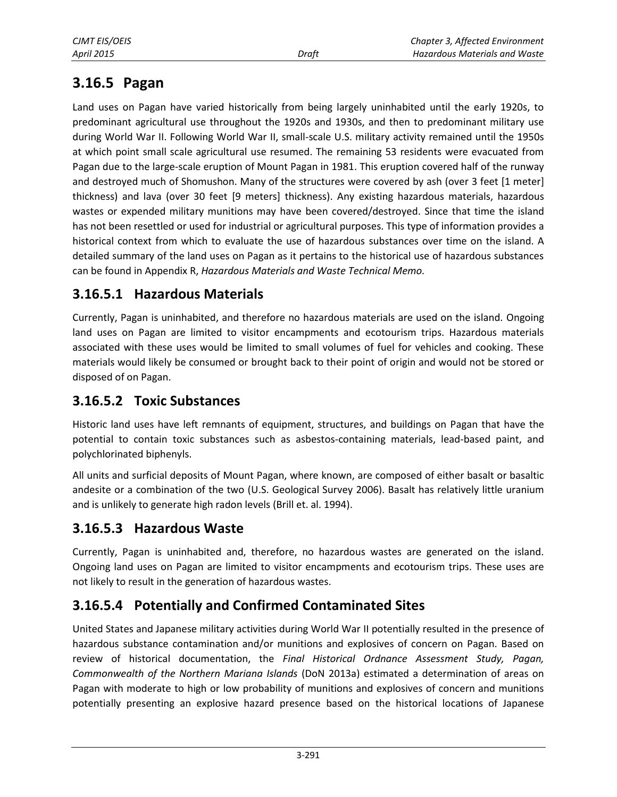# **3.16.5 Pagan**

Land uses on Pagan have varied historically from being largely uninhabited until the early 1920s, to predominant agricultural use throughout the 1920s and 1930s, and then to predominant military use during World War II. Following World War II, small-scale U.S. military activity remained until the 1950s at which point small scale agricultural use resumed. The remaining 53 residents were evacuated from Pagan due to the large-scale eruption of Mount Pagan in 1981. This eruption covered half of the runway and destroyed much of Shomushon. Many of the structures were covered by ash (over 3 feet [1 meter] thickness) and lava (over 30 feet [9 meters] thickness). Any existing hazardous materials, hazardous wastes or expended military munitions may have been covered/destroyed. Since that time the island has not been resettled or used for industrial or agricultural purposes. This type of information provides a historical context from which to evaluate the use of hazardous substances over time on the island. A detailed summary of the land uses on Pagan as it pertains to the historical use of hazardous substances can be found in Appendix R, *Hazardous Materials and Waste Technical Memo.*

### **3.16.5.1 Hazardous Materials**

Currently, Pagan is uninhabited, and therefore no hazardous materials are used on the island. Ongoing land uses on Pagan are limited to visitor encampments and ecotourism trips. Hazardous materials associated with these uses would be limited to small volumes of fuel for vehicles and cooking. These materials would likely be consumed or brought back to their point of origin and would not be stored or disposed of on Pagan.

### **3.16.5.2 Toxic Substances**

Historic land uses have left remnants of equipment, structures, and buildings on Pagan that have the potential to contain toxic substances such as asbestos-containing materials, lead-based paint, and polychlorinated biphenyls.

All units and surficial deposits of Mount Pagan, where known, are composed of either basalt or basaltic andesite or a combination of the two (U.S. Geological Survey 2006). Basalt has relatively little uranium and is unlikely to generate high radon levels (Brill et. al. 1994).

### **3.16.5.3 Hazardous Waste**

Currently, Pagan is uninhabited and, therefore, no hazardous wastes are generated on the island. Ongoing land uses on Pagan are limited to visitor encampments and ecotourism trips. These uses are not likely to result in the generation of hazardous wastes.

### **3.16.5.4 Potentially and Confirmed Contaminated Sites**

United States and Japanese military activities during World War II potentially resulted in the presence of hazardous substance contamination and/or munitions and explosives of concern on Pagan. Based on review of historical documentation, the *Final Historical Ordnance Assessment Study, Pagan, Commonwealth of the Northern Mariana Islands* (DoN 2013a) estimated a determination of areas on Pagan with moderate to high or low probability of munitions and explosives of concern and munitions potentially presenting an explosive hazard presence based on the historical locations of Japanese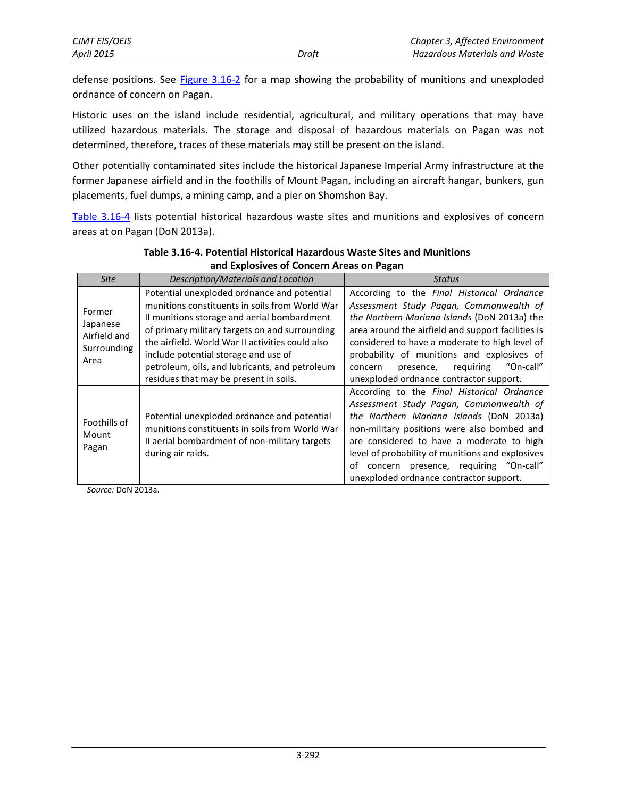defense positions. See **Figure 3.16-2** for a map showing the probability of munitions and unexploded ordnance of concern on Pagan.

Historic uses on the island include residential, agricultural, and military operations that may have utilized hazardous materials. The storage and disposal of hazardous materials on Pagan was not determined, therefore, traces of these materials may still be present on the island.

Other potentially contaminated sites include the historical Japanese Imperial Army infrastructure at the former Japanese airfield and in the foothills of Mount Pagan, including an aircraft hangar, bunkers, gun placements, fuel dumps, a mining camp, and a pier on Shomshon Bay.

[Table 3.16-4](#page-21-0) lists potential historical hazardous waste sites and munitions and explosives of concern areas at on Pagan (DoN 2013a).

| <b>Site</b>                                               | Description/Materials and Location                                                                                                                                                                                                                                                                                                                                                     | <b>Status</b>                                                                                                                                                                                                                                                                                                                                                                            |
|-----------------------------------------------------------|----------------------------------------------------------------------------------------------------------------------------------------------------------------------------------------------------------------------------------------------------------------------------------------------------------------------------------------------------------------------------------------|------------------------------------------------------------------------------------------------------------------------------------------------------------------------------------------------------------------------------------------------------------------------------------------------------------------------------------------------------------------------------------------|
| Former<br>Japanese<br>Airfield and<br>Surrounding<br>Area | Potential unexploded ordnance and potential<br>munitions constituents in soils from World War<br>II munitions storage and aerial bombardment<br>of primary military targets on and surrounding<br>the airfield. World War II activities could also<br>include potential storage and use of<br>petroleum, oils, and lubricants, and petroleum<br>residues that may be present in soils. | According to the Final Historical Ordnance<br>Assessment Study Pagan, Commonwealth of<br>the Northern Mariana Islands (DoN 2013a) the<br>area around the airfield and support facilities is<br>considered to have a moderate to high level of<br>probability of munitions and explosives of<br>"On-call"<br>reguiring<br>presence,<br>concern<br>unexploded ordnance contractor support. |
| Foothills of<br>Mount<br>Pagan                            | Potential unexploded ordnance and potential<br>munitions constituents in soils from World War<br>II aerial bombardment of non-military targets<br>during air raids.                                                                                                                                                                                                                    | According to the Final Historical Ordnance<br>Assessment Study Pagan, Commonwealth of<br>the Northern Mariana Islands (DoN 2013a)<br>non-military positions were also bombed and<br>are considered to have a moderate to high<br>level of probability of munitions and explosives<br>concern presence, requiring "On-call"<br>οf<br>unexploded ordnance contractor support.              |

<span id="page-21-0"></span>**Table 3.16-4. Potential Historical Hazardous Waste Sites and Munitions and Explosives of Concern Areas on Pagan** 

*Source:* DoN 2013a.